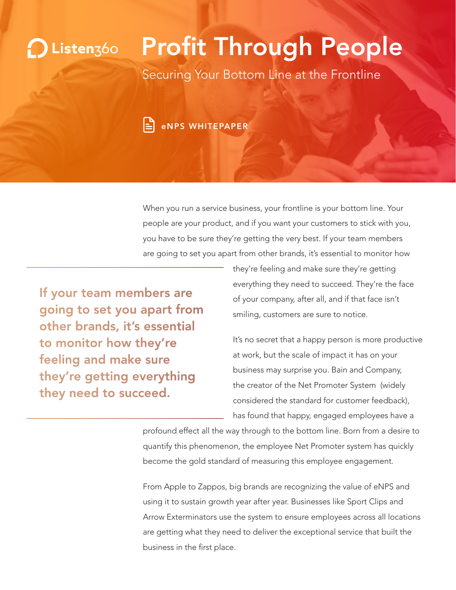## Profit Through People Listenz60

Securing Your Bottom Line at the Frontline



When you run a service business, your frontline is your bottom line. Your people are your product, and if you want your customers to stick with you, you have to be sure they're getting the very best. If your team members are going to set you apart from other brands, it's essential to monitor how

> they're feeling and make sure they're getting everything they need to succeed. They're the face of your company, after all, and if that face isn't smiling, customers are sure to notice.

It's no secret that a happy person is more productive at work, but the scale of impact it has on your business may surprise you. Bain and Company, the creator of the Net Promoter System (widely considered the standard for customer feedback), has found that happy, engaged employees have a

profound effect all the way through to the bottom line. Born from a desire to quantify this phenomenon, the employee Net Promoter system has quickly become the gold standard of measuring this employee engagement.

From Apple to Zappos, big brands are recognizing the value of eNPS and using it to sustain growth year after year. Businesses like Sport Clips and Arrow Exterminators use the system to ensure employees across all locations are getting what they need to deliver the exceptional service that built the business in the first place.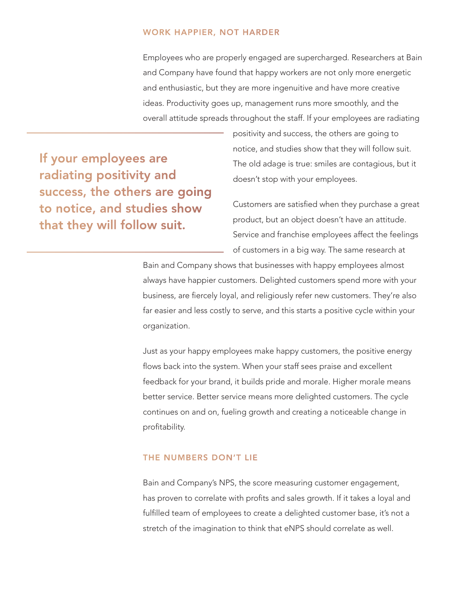Employees who are properly engaged are supercharged. Researchers at Bain and Company have found that happy workers are not only more energetic and enthusiastic, but they are more ingenuitive and have more creative ideas. Productivity goes up, management runs more smoothly, and the overall attitude spreads throughout the staff. If your employees are radiating

> positivity and success, the others are going to notice, and studies show that they will follow suit. The old adage is true: smiles are contagious, but it doesn't stop with your employees.

Customers are satisfied when they purchase a great product, but an object doesn't have an attitude. Service and franchise employees affect the feelings of customers in a big way. The same research at

Bain and Company shows that businesses with happy employees almost always have happier customers. Delighted customers spend more with your business, are fiercely loyal, and religiously refer new customers. They're also far easier and less costly to serve, and this starts a positive cycle within your organization.

Just as your happy employees make happy customers, the positive energy flows back into the system. When your staff sees praise and excellent feedback for your brand, it builds pride and morale. Higher morale means better service. Better service means more delighted customers. The cycle continues on and on, fueling growth and creating a noticeable change in profitability.

Bain and Company's NPS, the score measuring customer engagement, has proven to correlate with profits and sales growth. If it takes a loyal and fulfilled team of employees to create a delighted customer base, it's not a stretch of the imagination to think that eNPS should correlate as well.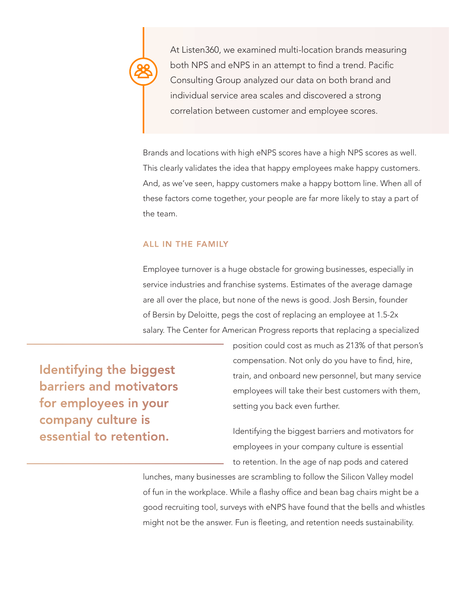At Listen360, we examined multi-location brands measuring both NPS and eNPS in an attempt to find a trend. Pacific Consulting Group analyzed our data on both brand and individual service area scales and discovered a strong correlation between customer and employee scores.

Brands and locations with high eNPS scores have a high NPS scores as well. This clearly validates the idea that happy employees make happy customers. And, as we've seen, happy customers make a happy bottom line. When all of these factors come together, your people are far more likely to stay a part of the team.

Employee turnover is a huge obstacle for growing businesses, especially in service industries and franchise systems. Estimates of the average damage are all over the place, but none of the news is good. Josh Bersin, founder of Bersin by Deloitte, pegs the cost of replacing an employee at 1.5-2x salary. The Center for American Progress reports that replacing a specialized

> position could cost as much as 213% of that person's compensation. Not only do you have to find, hire, train, and onboard new personnel, but many service employees will take their best customers with them, setting you back even further.

Identifying the biggest barriers and motivators for employees in your company culture is essential to retention. In the age of nap pods and catered

lunches, many businesses are scrambling to follow the Silicon Valley model of fun in the workplace. While a flashy office and bean bag chairs might be a good recruiting tool, surveys with eNPS have found that the bells and whistles might not be the answer. Fun is fleeting, and retention needs sustainability.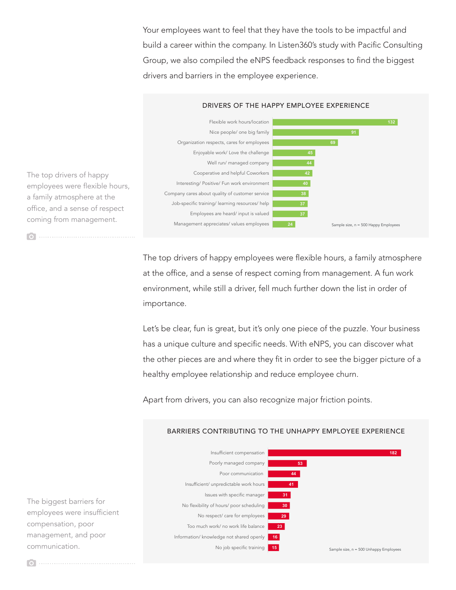Your employees want to feel that they have the tools to be impactful and build a career within the company. In Listen360's study with Pacific Consulting Group, we also compiled the eNPS feedback responses to find the biggest drivers and barriers in the employee experience.



The top drivers of happy employees were flexible hours, a family atmosphere at the office, and a sense of respect coming from management.

 $\sqrt{2}$ 

The top drivers of happy employees were flexible hours, a family atmosphere at the office, and a sense of respect coming from management. A fun work environment, while still a driver, fell much further down the list in order of importance.

Let's be clear, fun is great, but it's only one piece of the puzzle. Your business has a unique culture and specific needs. With eNPS, you can discover what the other pieces are and where they fit in order to see the bigger picture of a healthy employee relationship and reduce employee churn.

Apart from drivers, you can also recognize major friction points.



The biggest barriers for employees were insufficient compensation, poor management, and poor communication.

## BARRIERS CONTRIBUTING TO THE UNHAPPY EMPLOYEE EXPERIENCE

 $\overline{\bullet}$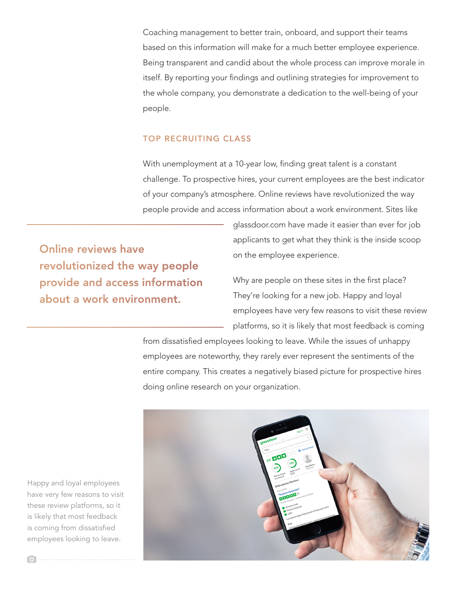Coaching management to better train, onboard, and support their teams based on this information will make for a much better employee experience. Being transparent and candid about the whole process can improve morale in itself. By reporting your findings and outlining strategies for improvement to the whole company, you demonstrate a dedication to the well-being of your people.

With unemployment at a 10-year low, finding great talent is a constant challenge. To prospective hires, your current employees are the best indicator of your company's atmosphere. Online reviews have revolutionized the way people provide and access information about a work environment. Sites like

> glassdoor.com have made it easier than ever for job applicants to get what they think is the inside scoop on the employee experience.

Why are people on these sites in the first place? They're looking for a new job. Happy and loyal employees have very few reasons to visit these review platforms, so it is likely that most feedback is coming

from dissatisfied employees looking to leave. While the issues of unhappy employees are noteworthy, they rarely ever represent the sentiments of the entire company. This creates a negatively biased picture for prospective hires doing online research on your organization.



Happy and loyal employees have very few reasons to visit these review platforms, so it is likely that most feedback is coming from dissatisfied employees looking to leave.